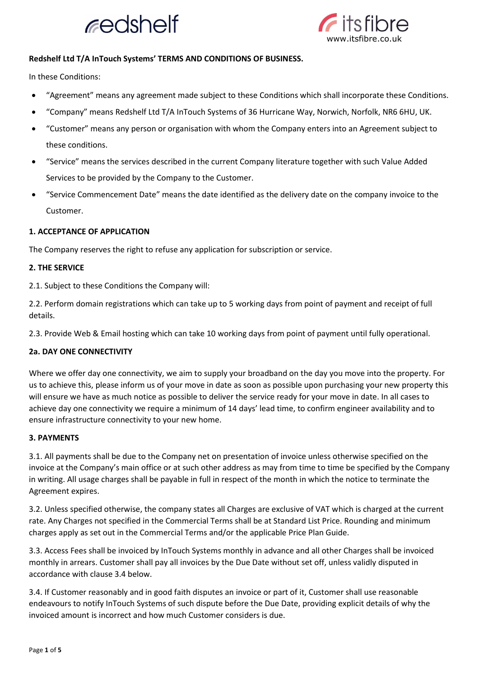



## **Redshelf Ltd T/A InTouch Systems' TERMS AND CONDITIONS OF BUSINESS.**

In these Conditions:

- "Agreement" means any agreement made subject to these Conditions which shall incorporate these Conditions.
- "Company" means Redshelf Ltd T/A InTouch Systems of 36 Hurricane Way, Norwich, Norfolk, NR6 6HU, UK.
- "Customer" means any person or organisation with whom the Company enters into an Agreement subject to these conditions.
- "Service" means the services described in the current Company literature together with such Value Added Services to be provided by the Company to the Customer.
- "Service Commencement Date" means the date identified as the delivery date on the company invoice to the Customer.

### **1. ACCEPTANCE OF APPLICATION**

The Company reserves the right to refuse any application for subscription or service.

### **2. THE SERVICE**

2.1. Subject to these Conditions the Company will:

2.2. Perform domain registrations which can take up to 5 working days from point of payment and receipt of full details.

2.3. Provide Web & Email hosting which can take 10 working days from point of payment until fully operational.

## **2a. DAY ONE CONNECTIVITY**

Where we offer day one connectivity, we aim to supply your broadband on the day you move into the property. For us to achieve this, please inform us of your move in date as soon as possible upon purchasing your new property this will ensure we have as much notice as possible to deliver the service ready for your move in date. In all cases to achieve day one connectivity we require a minimum of 14 days' lead time, to confirm engineer availability and to ensure infrastructure connectivity to your new home.

## **3. PAYMENTS**

3.1. All payments shall be due to the Company net on presentation of invoice unless otherwise specified on the invoice at the Company's main office or at such other address as may from time to time be specified by the Company in writing. All usage charges shall be payable in full in respect of the month in which the notice to terminate the Agreement expires.

3.2. Unless specified otherwise, the company states all Charges are exclusive of VAT which is charged at the current rate. Any Charges not specified in the Commercial Terms shall be at Standard List Price. Rounding and minimum charges apply as set out in the Commercial Terms and/or the applicable Price Plan Guide.

3.3. Access Fees shall be invoiced by InTouch Systems monthly in advance and all other Charges shall be invoiced monthly in arrears. Customer shall pay all invoices by the Due Date without set off, unless validly disputed in accordance with clause 3.4 below.

3.4. If Customer reasonably and in good faith disputes an invoice or part of it, Customer shall use reasonable endeavours to notify InTouch Systems of such dispute before the Due Date, providing explicit details of why the invoiced amount is incorrect and how much Customer considers is due.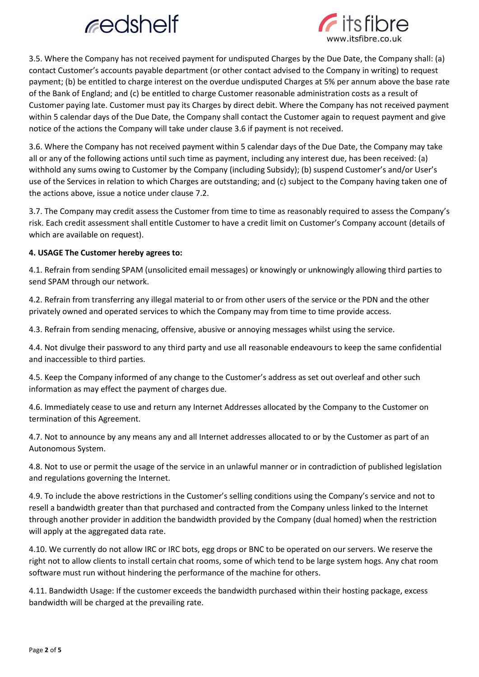# redshelf



3.5. Where the Company has not received payment for undisputed Charges by the Due Date, the Company shall: (a) contact Customer's accounts payable department (or other contact advised to the Company in writing) to request payment; (b) be entitled to charge interest on the overdue undisputed Charges at 5% per annum above the base rate of the Bank of England; and (c) be entitled to charge Customer reasonable administration costs as a result of Customer paying late. Customer must pay its Charges by direct debit. Where the Company has not received payment within 5 calendar days of the Due Date, the Company shall contact the Customer again to request payment and give notice of the actions the Company will take under clause 3.6 if payment is not received.

3.6. Where the Company has not received payment within 5 calendar days of the Due Date, the Company may take all or any of the following actions until such time as payment, including any interest due, has been received: (a) withhold any sums owing to Customer by the Company (including Subsidy); (b) suspend Customer's and/or User's use of the Services in relation to which Charges are outstanding; and (c) subject to the Company having taken one of the actions above, issue a notice under clause 7.2.

3.7. The Company may credit assess the Customer from time to time as reasonably required to assess the Company's risk. Each credit assessment shall entitle Customer to have a credit limit on Customer's Company account (details of which are available on request).

## **4. USAGE The Customer hereby agrees to:**

4.1. Refrain from sending SPAM (unsolicited email messages) or knowingly or unknowingly allowing third parties to send SPAM through our network.

4.2. Refrain from transferring any illegal material to or from other users of the service or the PDN and the other privately owned and operated services to which the Company may from time to time provide access.

4.3. Refrain from sending menacing, offensive, abusive or annoying messages whilst using the service.

4.4. Not divulge their password to any third party and use all reasonable endeavours to keep the same confidential and inaccessible to third parties.

4.5. Keep the Company informed of any change to the Customer's address as set out overleaf and other such information as may effect the payment of charges due.

4.6. Immediately cease to use and return any Internet Addresses allocated by the Company to the Customer on termination of this Agreement.

4.7. Not to announce by any means any and all Internet addresses allocated to or by the Customer as part of an Autonomous System.

4.8. Not to use or permit the usage of the service in an unlawful manner or in contradiction of published legislation and regulations governing the Internet.

4.9. To include the above restrictions in the Customer's selling conditions using the Company's service and not to resell a bandwidth greater than that purchased and contracted from the Company unless linked to the Internet through another provider in addition the bandwidth provided by the Company (dual homed) when the restriction will apply at the aggregated data rate.

4.10. We currently do not allow IRC or IRC bots, egg drops or BNC to be operated on our servers. We reserve the right not to allow clients to install certain chat rooms, some of which tend to be large system hogs. Any chat room software must run without hindering the performance of the machine for others.

4.11. Bandwidth Usage: If the customer exceeds the bandwidth purchased within their hosting package, excess bandwidth will be charged at the prevailing rate.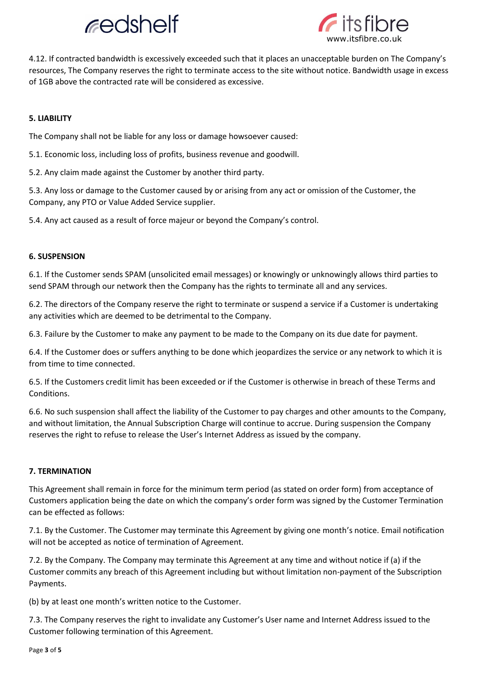## redshelf



4.12. If contracted bandwidth is excessively exceeded such that it places an unacceptable burden on The Company's resources, The Company reserves the right to terminate access to the site without notice. Bandwidth usage in excess of 1GB above the contracted rate will be considered as excessive.

## **5. LIABILITY**

The Company shall not be liable for any loss or damage howsoever caused:

5.1. Economic loss, including loss of profits, business revenue and goodwill.

5.2. Any claim made against the Customer by another third party.

5.3. Any loss or damage to the Customer caused by or arising from any act or omission of the Customer, the Company, any PTO or Value Added Service supplier.

5.4. Any act caused as a result of force majeur or beyond the Company's control.

## **6. SUSPENSION**

6.1. If the Customer sends SPAM (unsolicited email messages) or knowingly or unknowingly allows third parties to send SPAM through our network then the Company has the rights to terminate all and any services.

6.2. The directors of the Company reserve the right to terminate or suspend a service if a Customer is undertaking any activities which are deemed to be detrimental to the Company.

6.3. Failure by the Customer to make any payment to be made to the Company on its due date for payment.

6.4. If the Customer does or suffers anything to be done which jeopardizes the service or any network to which it is from time to time connected.

6.5. If the Customers credit limit has been exceeded or if the Customer is otherwise in breach of these Terms and **Conditions** 

6.6. No such suspension shall affect the liability of the Customer to pay charges and other amounts to the Company, and without limitation, the Annual Subscription Charge will continue to accrue. During suspension the Company reserves the right to refuse to release the User's Internet Address as issued by the company.

## **7. TERMINATION**

This Agreement shall remain in force for the minimum term period (as stated on order form) from acceptance of Customers application being the date on which the company's order form was signed by the Customer Termination can be effected as follows:

7.1. By the Customer. The Customer may terminate this Agreement by giving one month's notice. Email notification will not be accepted as notice of termination of Agreement.

7.2. By the Company. The Company may terminate this Agreement at any time and without notice if (a) if the Customer commits any breach of this Agreement including but without limitation non-payment of the Subscription Payments.

(b) by at least one month's written notice to the Customer.

7.3. The Company reserves the right to invalidate any Customer's User name and Internet Address issued to the Customer following termination of this Agreement.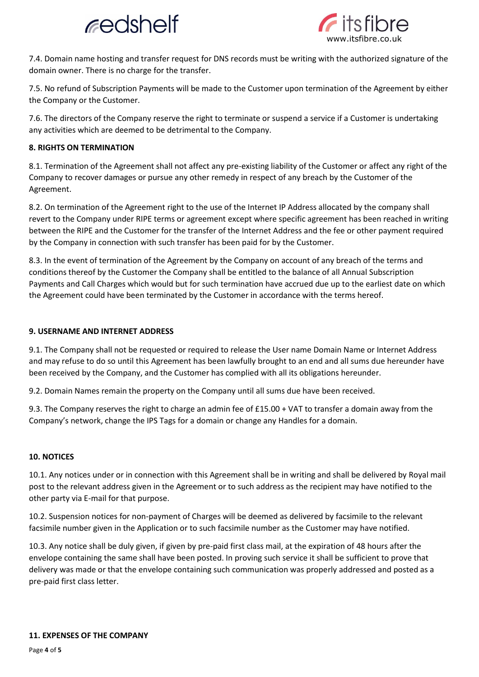



7.4. Domain name hosting and transfer request for DNS records must be writing with the authorized signature of the domain owner. There is no charge for the transfer.

7.5. No refund of Subscription Payments will be made to the Customer upon termination of the Agreement by either the Company or the Customer.

7.6. The directors of the Company reserve the right to terminate or suspend a service if a Customer is undertaking any activities which are deemed to be detrimental to the Company.

## **8. RIGHTS ON TERMINATION**

8.1. Termination of the Agreement shall not affect any pre-existing liability of the Customer or affect any right of the Company to recover damages or pursue any other remedy in respect of any breach by the Customer of the Agreement.

8.2. On termination of the Agreement right to the use of the Internet IP Address allocated by the company shall revert to the Company under RIPE terms or agreement except where specific agreement has been reached in writing between the RIPE and the Customer for the transfer of the Internet Address and the fee or other payment required by the Company in connection with such transfer has been paid for by the Customer.

8.3. In the event of termination of the Agreement by the Company on account of any breach of the terms and conditions thereof by the Customer the Company shall be entitled to the balance of all Annual Subscription Payments and Call Charges which would but for such termination have accrued due up to the earliest date on which the Agreement could have been terminated by the Customer in accordance with the terms hereof.

## **9. USERNAME AND INTERNET ADDRESS**

9.1. The Company shall not be requested or required to release the User name Domain Name or Internet Address and may refuse to do so until this Agreement has been lawfully brought to an end and all sums due hereunder have been received by the Company, and the Customer has complied with all its obligations hereunder.

9.2. Domain Names remain the property on the Company until all sums due have been received.

9.3. The Company reserves the right to charge an admin fee of £15.00 + VAT to transfer a domain away from the Company's network, change the IPS Tags for a domain or change any Handles for a domain.

## **10. NOTICES**

10.1. Any notices under or in connection with this Agreement shall be in writing and shall be delivered by Royal mail post to the relevant address given in the Agreement or to such address as the recipient may have notified to the other party via E-mail for that purpose.

10.2. Suspension notices for non-payment of Charges will be deemed as delivered by facsimile to the relevant facsimile number given in the Application or to such facsimile number as the Customer may have notified.

10.3. Any notice shall be duly given, if given by pre-paid first class mail, at the expiration of 48 hours after the envelope containing the same shall have been posted. In proving such service it shall be sufficient to prove that delivery was made or that the envelope containing such communication was properly addressed and posted as a pre-paid first class letter.